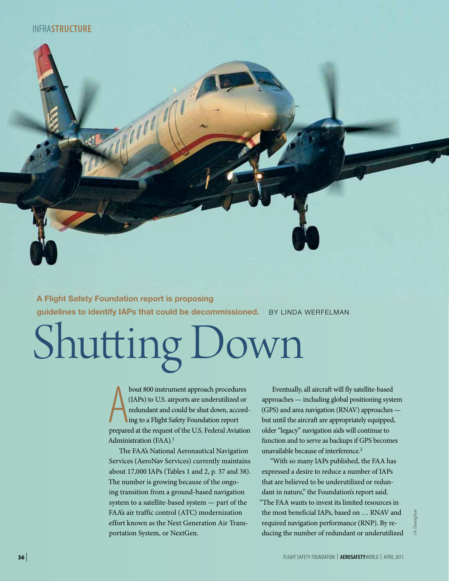# infra**structure**

**A Flight Safety Foundation report is proposing guidelines to identify IAPs that could be decommissioned.** BY LINDA WERFELMAN

# Shutting Down

bout 800 instrument approach procedures<br>(IAPs) to U.S. airports are underutilized or<br>redundant and could be shut down, accord-<br>ing to a Flight Safety Foundation report<br>prepared at the request of the U.S. Federal Aviation bout 800 instrument approach procedures (IAPs) to U.S. airports are underutilized or redundant and could be shut down, according to a Flight Safety Foundation report Administration (FAA).<sup>1</sup>

The FAA's National Aeronautical Navigation Services (AeroNav Services) currently maintains about 17,000 IAPs (Tables 1 and 2, p. 37 and 38). The number is growing because of the ongoing transition from a ground-based navigation system to a satellite-based system — part of the FAA's air traffic control (ATC) modernization effort known as the Next Generation Air Transportation System, or NextGen.

Eventually, all aircraft will fly satellite-based approaches — including global positioning system (GPS) and area navigation (RNAV) approaches but until the aircraft are appropriately equipped, older "legacy" navigation aids will continue to function and to serve as backups if GPS becomes unavailable because of interference.<sup>2</sup>

"With so many IAPs published, the FAA has expressed a desire to reduce a number of IAPs that are believed to be underutilized or redundant in nature," the Foundation's report said. "The FAA wants to invest its limited resources in the most beneficial IAPs, based on … RNAV and required navigation performance (RNP). By reducing the number of redundant or underutilized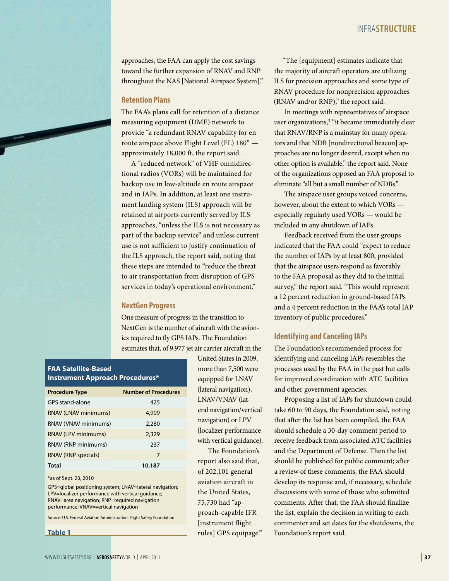approaches, the FAA can apply the cost savings toward the further expansion of RNAV and RNP throughout the NAS [National Airspace System]."

### **Retention Plans**

The FAA's plans call for retention of a distance measuring equipment (DME) network to provide "a redundant RNAV capability for en route airspace above Flight Level (FL) 180" approximately 18,000 ft, the report said.

A "reduced network" of VHF omnidirectional radios (VORs) will be maintained for backup use in low-altitude en route airspace and in IAPs. In addition, at least one instrument landing system (ILS) approach will be retained at airports currently served by ILS approaches, "unless the ILS is not necessary as part of the backup service" and unless current use is not sufficient to justify continuation of the ILS approach, the report said, noting that these steps are intended to "reduce the threat to air transportation from disruption of GPS services in today's operational environment."

### **NextGen Progress**

One measure of progress in the transition to NextGen is the number of aircraft with the avionics required to fly GPS IAPs. The Foundation estimates that, of 9,977 jet air carrier aircraft in the

> United States in 2009, more than 7,500 were equipped for LNAV (lateral navigation), LNAV/VNAV (lateral navigation/vertical navigation) or LPV (localizer performance with vertical guidance). The Foundation's report also said that, of 202,101 general aviation aircraft in the United States, 75,730 had "approach-capable IFR [instrument flight rules] GPS equipage."

## **FAA Satellite-Based Instrument Approach Procedures\***

| <b>Procedure Type</b>       | <b>Number of Procedures</b> |
|-----------------------------|-----------------------------|
| GPS stand-alone             | 425                         |
| <b>RNAV (LNAV minimums)</b> | 4,909                       |
| RNAV (VNAV minimums)        | 2,280                       |
| <b>RNAV (LPV minimums)</b>  | 2,329                       |
| RNAV (RNP minimums)         | 237                         |
| <b>RNAV (RNP specials)</b>  | 7                           |
| <b>Total</b>                | 10,187                      |

#### \*as of Sept. 23, 2010

GPS=global positioning system; LNAV=lateral navigation; LPV=localizer performance with vertical guidance; RNAV=area navigation; RNP=required navigation performance; VNAV=vertical navigation

Source: U.S. Federal Aviation Administration, Flight Safety Foundation

**Table 1**

"The [equipment] estimates indicate that the majority of aircraft operators are utilizing ILS for precision approaches and some type of RNAV procedure for nonprecision approaches (RNAV and/or RNP)," the report said.

In meetings with representatives of airspace user organizations,<sup>3</sup> "it became immediately clear that RNAV/RNP is a mainstay for many operators and that NDB [nondirectional beacon] approaches are no longer desired, except when no other option is available," the report said. None of the organizations opposed an FAA proposal to eliminate "all but a small number of NDBs."

The airspace user groups voiced concerns, however, about the extent to which VORs especially regularly used VORs — would be included in any shutdown of IAPs.

Feedback received from the user groups indicated that the FAA could "expect to reduce the number of IAPs by at least 800, provided that the airspace users respond as favorably to the FAA proposal as they did to the initial survey," the report said. "This would represent a 12 percent reduction in ground-based IAPs and a 4 percent reduction in the FAA's total IAP inventory of public procedures."

#### **Identifying and Canceling IAPs**

The Foundation's recommended process for identifying and canceling IAPs resembles the processes used by the FAA in the past but calls for improved coordination with ATC facilities and other government agencies.

Proposing a list of IAPs for shutdown could take 60 to 90 days, the Foundation said, noting that after the list has been compiled, the FAA should schedule a 30-day comment period to receive feedback from associated ATC facilities and the Department of Defense. Then the list should be published for public comment; after a review of these comments, the FAA should develop its response and, if necessary, schedule discussions with some of those who submitted comments. After that, the FAA should finalize the list, explain the decision in writing to each commenter and set dates for the shutdowns, the Foundation's report said.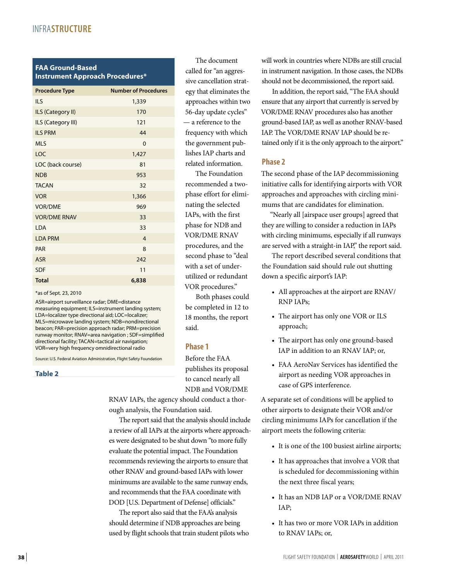# infra**structure**

## **FAA Ground-Based Instrument Approach Procedures\***

| <b>Procedure Type</b> | <b>Number of Procedures</b> |
|-----------------------|-----------------------------|
| <b>ILS</b>            | 1,339                       |
| ILS (Category II)     | 170                         |
| ILS (Category III)    | 121                         |
| <b>ILS PRM</b>        | 44                          |
| <b>MLS</b>            | 0                           |
| LOC                   | 1,427                       |
| LOC (back course)     | 81                          |
| <b>NDB</b>            | 953                         |
| <b>TACAN</b>          | 32                          |
| <b>VOR</b>            | 1,366                       |
| <b>VOR/DME</b>        | 969                         |
| <b>VOR/DME RNAV</b>   | 33                          |
| LDA                   | 33                          |
| <b>LDA PRM</b>        | $\overline{4}$              |
| PAR                   | 8                           |
| <b>ASR</b>            | 242                         |
| <b>SDF</b>            | 11                          |
| <b>Total</b>          | 6,838                       |

#### \*as of Sept. 23, 2010

ASR=airport surveillance radar; DME=distance measuring equipment; ILS=instrument landing system; LDA=localizer type directional aid; LOC=localizer; MLS=microwave landing system; NDB=nondirectional beacon; PAR=precision approach radar; PRM=precision runway monitor; RNAV=area navigation ; SDF=simplified directional facility; TACAN=tactical air navigation; VOR=very high frequency omnidirectional radio

Source: U.S. Federal Aviation Administration, Flight Safety Foundation

**Table 2**

The document called for "an aggressive cancellation strategy that eliminates the approaches within two 56-day update cycles" — a reference to the frequency with which the government publishes IAP charts and related information.

The Foundation recommended a twophase effort for eliminating the selected IAPs, with the first phase for NDB and VOR/DME RNAV procedures, and the second phase to "deal with a set of underutilized or redundant VOR procedures."

Both phases could be completed in 12 to 18 months, the report said.

#### **Phase 1**

Before the FAA publishes its proposal to cancel nearly all NDB and VOR/DME

RNAV IAPs, the agency should conduct a thorough analysis, the Foundation said.

The report said that the analysis should include a review of all IAPs at the airports where approaches were designated to be shut down "to more fully evaluate the potential impact. The Foundation recommends reviewing the airports to ensure that other RNAV and ground-based IAPs with lower minimums are available to the same runway ends, and recommends that the FAA coordinate with DOD [U.S. Department of Defense] officials."

The report also said that the FAA's analysis should determine if NDB approaches are being used by flight schools that train student pilots who will work in countries where NDBs are still crucial in instrument navigation. In those cases, the NDBs should not be decommissioned, the report said.

In addition, the report said, "The FAA should ensure that any airport that currently is served by VOR/DME RNAV procedures also has another ground-based IAP, as well as another RNAV-based IAP. The VOR/DME RNAV IAP should be retained only if it is the only approach to the airport."

## **Phase 2**

The second phase of the IAP decommissioning initiative calls for identifying airports with VOR approaches and approaches with circling minimums that are candidates for elimination.

"Nearly all [airspace user groups] agreed that they are willing to consider a reduction in IAPs with circling minimums, especially if all runways are served with a straight-in IAP," the report said.

The report described several conditions that the Foundation said should rule out shutting down a specific airport's IAP:

- All approaches at the airport are RNAV/ RNP IAPs;
- The airport has only one VOR or ILS approach;
- The airport has only one ground-based IAP in addition to an RNAV IAP; or,
- FAA AeroNav Services has identified the airport as needing VOR approaches in case of GPS interference.

A separate set of conditions will be applied to other airports to designate their VOR and/or circling minimums IAPs for cancellation if the airport meets the following criteria:

- It is one of the 100 busiest airline airports;
- It has approaches that involve a VOR that is scheduled for decommissioning within the next three fiscal years;
- It has an NDB IAP or a VOR/DME RNAV IAP;
- It has two or more VOR IAPs in addition to RNAV IAPs; or,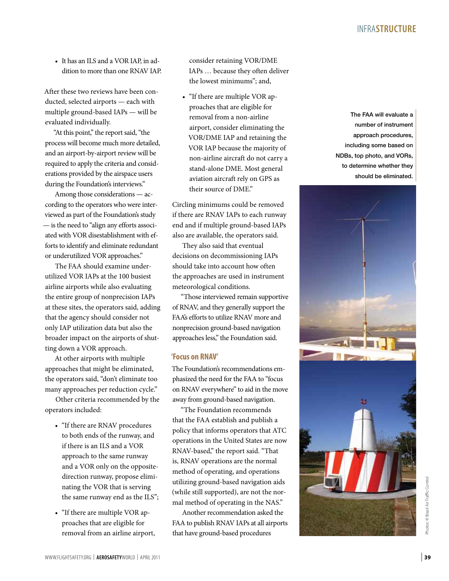• It has an ILS and a VOR IAP, in addition to more than one RNAV IAP.

After these two reviews have been conducted, selected airports — each with multiple ground-based IAPs — will be evaluated individually.

"At this point," the report said, "the process will become much more detailed, and an airport-by-airport review will be required to apply the criteria and considerations provided by the airspace users during the Foundation's interviews."

Among those considerations — according to the operators who were interviewed as part of the Foundation's study — is the need to "align any efforts associated with VOR disestablishment with efforts to identify and eliminate redundant or underutilized VOR approaches."

The FAA should examine underutilized VOR IAPs at the 100 busiest airline airports while also evaluating the entire group of nonprecision IAPs at these sites, the operators said, adding that the agency should consider not only IAP utilization data but also the broader impact on the airports of shutting down a VOR approach.

At other airports with multiple approaches that might be eliminated, the operators said, "don't eliminate too many approaches per reduction cycle."

Other criteria recommended by the operators included:

- • "If there are RNAV procedures to both ends of the runway, and if there is an ILS and a VOR approach to the same runway and a VOR only on the oppositedirection runway, propose eliminating the VOR that is serving the same runway end as the ILS";
- "If there are multiple VOR approaches that are eligible for removal from an airline airport,

consider retaining VOR/DME IAPs … because they often deliver the lowest minimums"; and,

• "If there are multiple VOR approaches that are eligible for removal from a non-airline airport, consider eliminating the VOR/DME IAP and retaining the VOR IAP because the majority of non-airline aircraft do not carry a stand-alone DME. Most general aviation aircraft rely on GPS as their source of DME."

Circling minimums could be removed if there are RNAV IAPs to each runway end and if multiple ground-based IAPs also are available, the operators said.

They also said that eventual decisions on decommissioning IAPs should take into account how often the approaches are used in instrument meteorological conditions.

"Those interviewed remain supportive of RNAV, and they generally support the FAA's efforts to utilize RNAV more and nonprecision ground-based navigation approaches less," the Foundation said.

## **'Focus on RNAV'**

The Foundation's recommendations emphasized the need for the FAA to "focus on RNAV everywhere" to aid in the move away from ground-based navigation.

"The Foundation recommends that the FAA establish and publish a policy that informs operators that ATC operations in the United States are now RNAV-based," the report said. "That is, RNAV operations are the normal method of operating, and operations utilizing ground-based navigation aids (while still supported), are not the normal method of operating in the NAS."

Another recommendation asked the FAA to publish RNAV IAPs at all airports that have ground-based procedures

The FAA will evaluate a number of instrument approach procedures, including some based on NDBs, top photo, and VORs, to determine whether they should be eliminated.